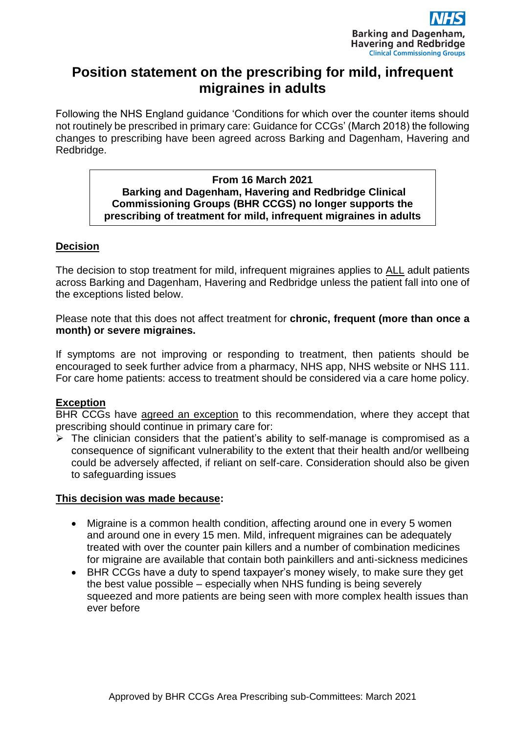

# **Position statement on the prescribing for mild, infrequent migraines in adults**

Following the NHS England guidance 'Conditions for which over the counter items should not routinely be prescribed in primary care: Guidance for CCGs' (March 2018) the following changes to prescribing have been agreed across Barking and Dagenham, Havering and Redbridge.

#### **From 16 March 2021 Barking and Dagenham, Havering and Redbridge Clinical Commissioning Groups (BHR CCGS) no longer supports the prescribing of treatment for mild, infrequent migraines in adults**

## **Decision**

The decision to stop treatment for mild, infrequent migraines applies to ALL adult patients across Barking and Dagenham, Havering and Redbridge unless the patient fall into one of the exceptions listed below.

Please note that this does not affect treatment for **chronic, frequent (more than once a month) or severe migraines.**

If symptoms are not improving or responding to treatment, then patients should be encouraged to seek further advice from a pharmacy, NHS app, NHS website or NHS 111. For care home patients: access to treatment should be considered via a care home policy.

### **Exception**

BHR CCGs have agreed an exception to this recommendation, where they accept that prescribing should continue in primary care for:

 $\triangleright$  The clinician considers that the patient's ability to self-manage is compromised as a consequence of significant vulnerability to the extent that their health and/or wellbeing could be adversely affected, if reliant on self-care. Consideration should also be given to safeguarding issues

### **This decision was made because:**

- Migraine is a common health condition, affecting around one in every 5 women and around one in every 15 men. Mild, infrequent migraines can be adequately treated with over the counter pain killers and a number of combination medicines for migraine are available that contain both painkillers and anti-sickness medicines
- BHR CCGs have a duty to spend taxpayer's money wisely, to make sure they get the best value possible – especially when NHS funding is being severely squeezed and more patients are being seen with more complex health issues than ever before